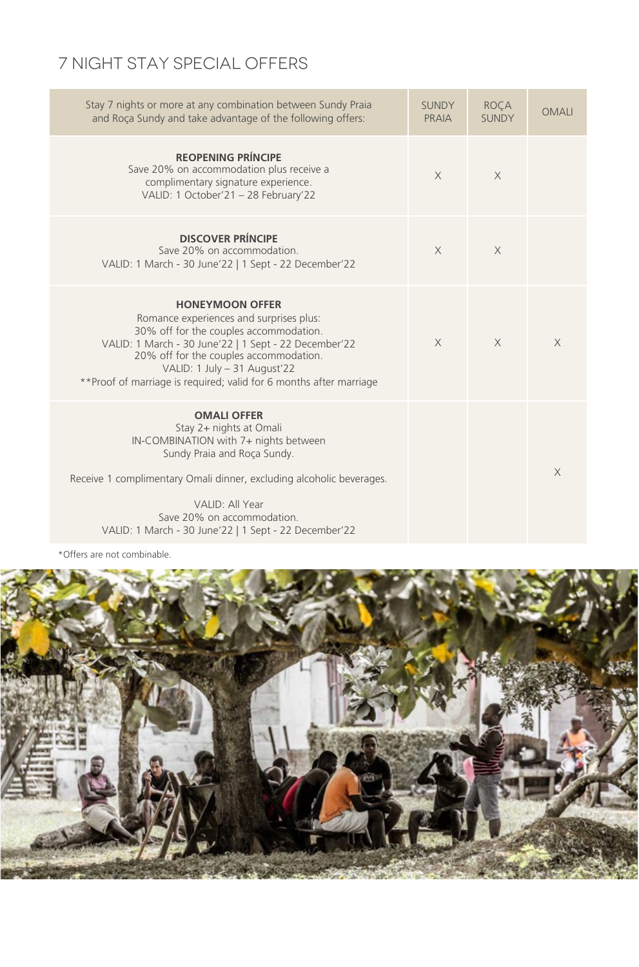## 7 NIGHT STAY SPECIAL OFFERS

| Stay 7 nights or more at any combination between Sundy Praia<br>and Roça Sundy and take advantage of the following offers:                                                                                                                                                                                            | <b>SUNDY</b><br>PRAIA | <b>ROÇA</b><br><b>SUNDY</b> | <b>OMALI</b> |
|-----------------------------------------------------------------------------------------------------------------------------------------------------------------------------------------------------------------------------------------------------------------------------------------------------------------------|-----------------------|-----------------------------|--------------|
| <b>REOPENING PRÍNCIPE</b><br>Save 20% on accommodation plus receive a<br>complimentary signature experience.<br>VALID: 1 October'21 - 28 February'22                                                                                                                                                                  | $\times$              | $\times$                    |              |
| <b>DISCOVER PRÍNCIPE</b><br>Save 20% on accommodation.<br>VALID: 1 March - 30 June'22   1 Sept - 22 December'22                                                                                                                                                                                                       | $\times$              | $\times$                    |              |
| <b>HONEYMOON OFFER</b><br>Romance experiences and surprises plus:<br>30% off for the couples accommodation.<br>VALID: 1 March - 30 June'22   1 Sept - 22 December'22<br>20% off for the couples accommodation.<br>VALID: 1 July - 31 August'22<br>** Proof of marriage is required; valid for 6 months after marriage | $\times$              | $\times$                    | $\times$     |
| <b>OMALI OFFER</b><br>Stay 2+ nights at Omali<br>IN-COMBINATION with 7+ nights between<br>Sundy Praia and Roca Sundy.<br>Receive 1 complimentary Omali dinner, excluding alcoholic beverages.<br>VALID: All Year<br>Save 20% on accommodation.<br>VALID: 1 March - 30 June'22   1 Sept - 22 December'22               |                       |                             | $\times$     |

\*Offers are not combinable.

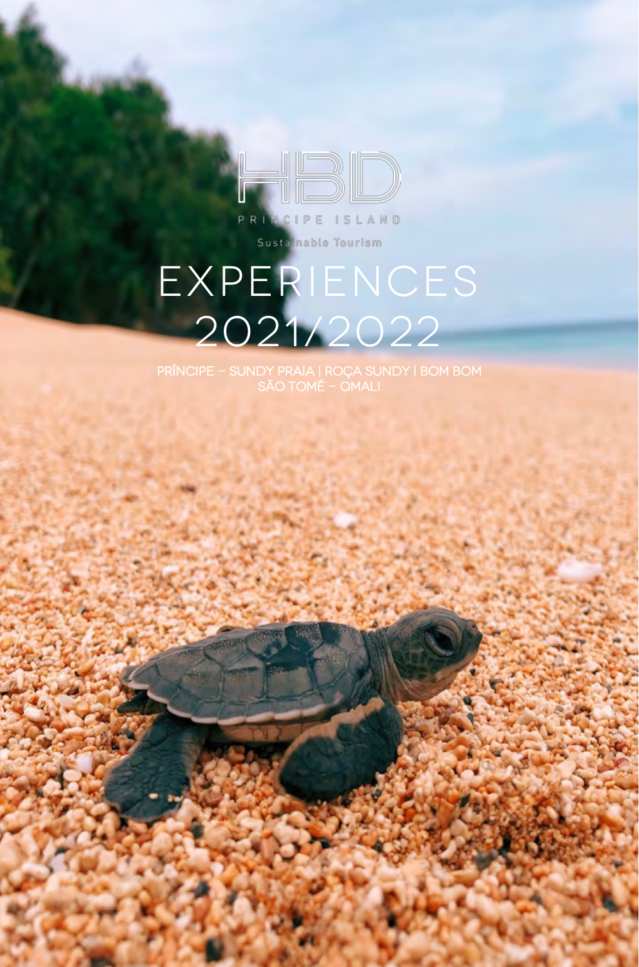

Sustainable Tourism

# EXPERIENCES 2021/2022

PRÍNCIPE - SUNDY PRAIA | ROÇA SUNDY | BOM BOM SÃO TOMÉ - OMALI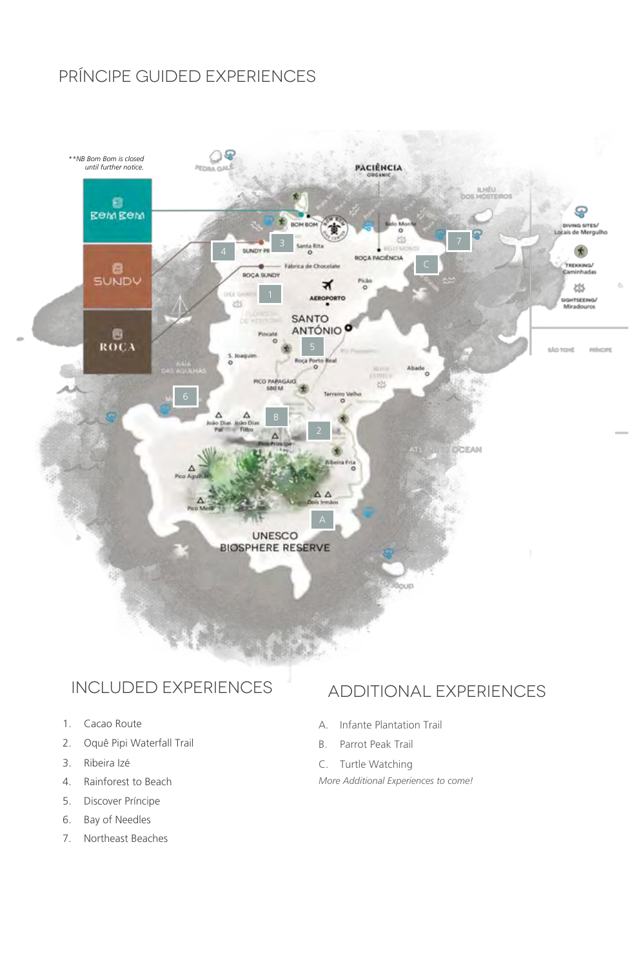## PRÍNCIPE GUIDED EXPERIENCES



## Included experiences

- 1. Cacao Route
- 2. Oquê Pipi Waterfall Trail
- 3. Ribeira Izé
- 4. Rainforest to Beach
- 5. Discover Príncipe
- 6. Bay of Needles
- 7. Northeast Beaches

### additional experiences

- A. Infante Plantation Trail
- B. Parrot Peak Trail

C. Turtle Watching

*More Additional Experiences to come!*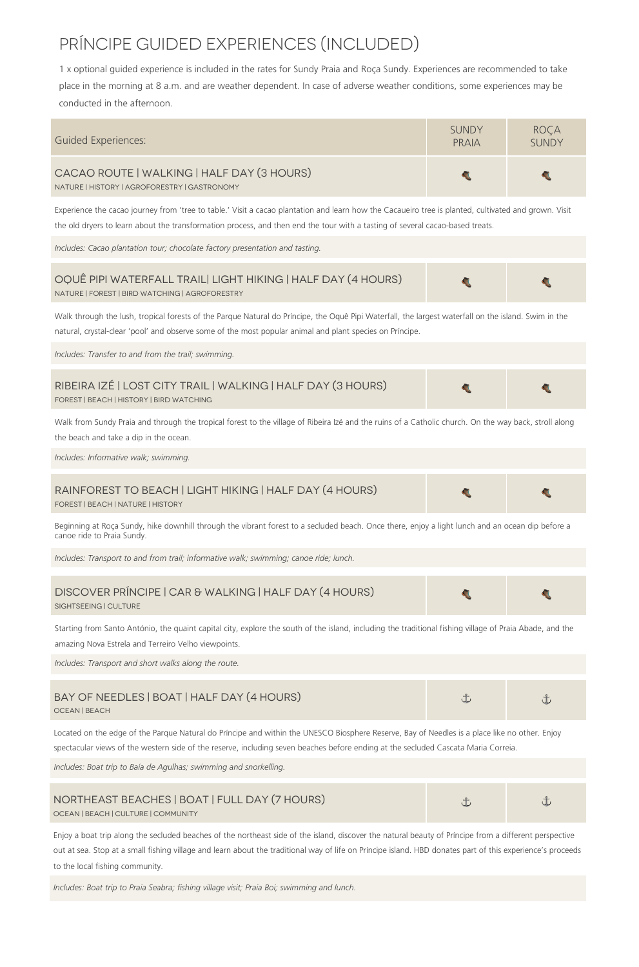## PRÍNCIPE GUIDED EXPERIENCES (included)

1 x optional guided experience is included in the rates for Sundy Praia and Roça Sundy. Experiences are recommended to take place in the morning at 8 a.m. and are weather dependent. In case of adverse weather conditions, some experiences may be conducted in the afternoon.

| Guided Experiences:                                                                        | <b>SUNDY</b><br>PRAIA | <b>ROCA</b><br><b>SUNDY</b> |
|--------------------------------------------------------------------------------------------|-----------------------|-----------------------------|
| CACAO ROUTE   WALKING   HALF DAY (3 HOURS)<br>NATURE   HISTORY   AGROFORESTRY   GASTRONOMY |                       |                             |

Experience the cacao journey from 'tree to table.' Visit a cacao plantation and learn how the Cacaueiro tree is planted, cultivated and grown. Visit the old dryers to learn about the transformation process, and then end the tour with a tasting of several cacao-based treats.

*Includes: Cacao plantation tour; chocolate factory presentation and tasting.*

| OQUÊ PIPI WATERFALL TRAIL LIGHT HIKING   HALF DAY (4 HOURS) |  |
|-------------------------------------------------------------|--|
| NATURE   FOREST   BIRD WATCHING   AGROFORESTRY              |  |

Walk through the lush, tropical forests of the Parque Natural do Príncipe, the Oquê Pipi Waterfall, the largest waterfall on the island. Swim in the natural, crystal-clear 'pool' and observe some of the most popular animal and plant species on Príncipe.

*Includes: Transfer to and from the trail; swimming.*

Ribeira Izé | Lost City Trail | Walking | Half Day (3 hours) FOREST | BEACH | HISTORY | BIRD WATCHING

Walk from Sundy Praia and through the tropical forest to the village of Ribeira Izé and the ruins of a Catholic church. On the way back, stroll along the beach and take a dip in the ocean.

 $\sim$   $\sim$ 

 $\sim$   $\sim$ 

 $\downarrow$   $\downarrow$ 

 $\downarrow$   $\downarrow$ 

*Includes: Informative walk; swimming.*

#### Rainforest to Beach | Light Hiking | Half Day (4 hours) FOREST | BEACH | NATURE | HISTORY

Beginning at Roça Sundy, hike downhill through the vibrant forest to a secluded beach. Once there, enjoy a light lunch and an ocean dip before a canoe ride to Praia Sundy.

*Includes: Transport to and from trail; informative walk; swimming; canoe ride; lunch.*

| DISCOVER PRÍNCIPE   CAR & WALKING   HALF DAY (4 HOURS) |  |
|--------------------------------------------------------|--|
| SIGHTSEEING   CULTURE                                  |  |

Starting from Santo António, the quaint capital city, explore the south of the island, including the traditional fishing village of Praia Abade, and the amazing Nova Estrela and Terreiro Velho viewpoints.

*Includes: Transport and short walks along the route.*

#### Bay of Needles | Boat | Half Day (4 hours) OCEAN | BEACH

Located on the edge of the Parque Natural do Príncipe and within the UNESCO Biosphere Reserve, Bay of Needles is a place like no other. Enjoy spectacular views of the western side of the reserve, including seven beaches before ending at the secluded Cascata Maria Correia.

*Includes: Boat trip to Baía de Agulhas; swimming and snorkelling.* 

#### Northeast Beaches | Boat | Full Day (7 hours) OCEAN | BEACH | CULTURE | COMMUNITY

Enjoy a boat trip along the secluded beaches of the northeast side of the island, discover the natural beauty of Príncipe from a different perspective out at sea. Stop at a small fishing village and learn about the traditional way of life on Príncipe island. HBD donates part of this experience's proceeds to the local fishing community.

*Includes: Boat trip to Praia Seabra; fishing village visit; Praia Boi; swimming and lunch.*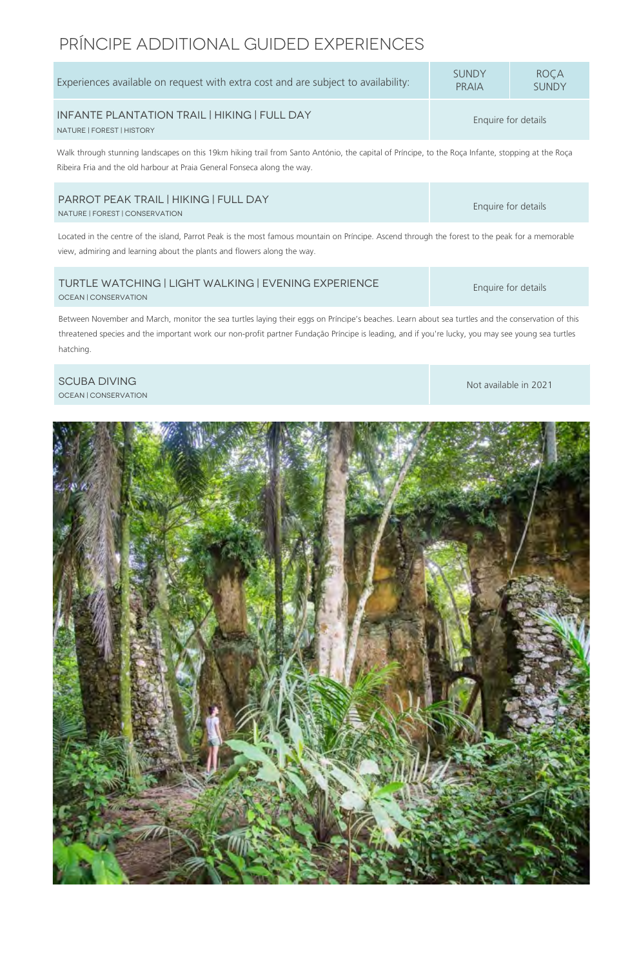## PRÍNCIPE additional GUIDED EXPERIENCES

| Experiences available on request with extra cost and are subject to availability:                                                                                                                                                                                                                                   | <b>SUNDY</b><br>PRAIA | <b>ROCA</b><br><b>SUNDY</b> |  |
|---------------------------------------------------------------------------------------------------------------------------------------------------------------------------------------------------------------------------------------------------------------------------------------------------------------------|-----------------------|-----------------------------|--|
| INFANTE PLANTATION TRAIL   HIKING   FULL DAY<br>NATURE   FOREST   HISTORY                                                                                                                                                                                                                                           | Enquire for details   |                             |  |
| Walk through stunning landscapes on this 19km hiking trail from Santo António, the capital of Príncipe, to the Roça Infante, stopping at the Roça<br>Ribeira Fria and the old harbour at Praia General Fonseca along the way.                                                                                       |                       |                             |  |
| PARROT PEAK TRAIL   HIKING   FULL DAY<br>NATURE   FOREST   CONSERVATION                                                                                                                                                                                                                                             | Enquire for details   |                             |  |
| Located in the centre of the island, Parrot Peak is the most famous mountain on Príncipe. Ascend through the forest to the peak for a memorable<br>view, admiring and learning about the plants and flowers along the way.                                                                                          |                       |                             |  |
| <b>TURTLE WATCHING   LIGHT WALKING   EVENING EXPERIENCE</b><br><b>OCEAN   CONSERVATION</b>                                                                                                                                                                                                                          |                       | Enquire for details         |  |
| Between November and March, monitor the sea turtles laying their eggs on Príncipe's beaches. Learn about sea turtles and the conservation of this<br>threatened species and the important work our non-profit partner Fundação Príncipe is leading, and if you're lucky, you may see young sea turtles<br>hatching. |                       |                             |  |
| <b>SCUBA DIVING</b><br><b>OCEAN   CONSERVATION</b>                                                                                                                                                                                                                                                                  | Not available in 2021 |                             |  |
|                                                                                                                                                                                                                                                                                                                     |                       |                             |  |

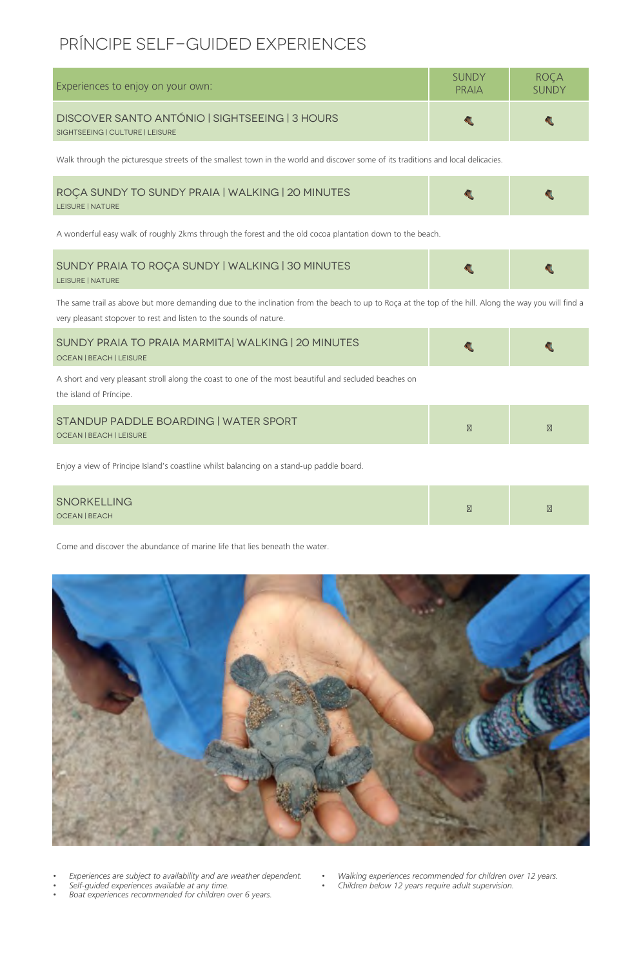## PRÍNCIPE self-GUIDED EXPERIENCES

| Experiences to enjoy on your own:                                                 | <b>SUNDY</b><br>PRAIA | <b>ROCA</b><br><b>SUNDY</b> |
|-----------------------------------------------------------------------------------|-----------------------|-----------------------------|
| DISCOVER SANTO ANTÓNIO   SIGHTSEEING   3 HOURS<br>SIGHTSEEING   CULTURE   LEISURE |                       |                             |

Walk through the picturesque streets of the smallest town in the world and discover some of its traditions and local delicacies.

| ROCA SUNDY TO SUNDY PRAIA   WALKING   20 MINUTES |  |
|--------------------------------------------------|--|
| LEISURE   NATURE                                 |  |

A wonderful easy walk of roughly 2kms through the forest and the old cocoa plantation down to the beach.

| SUNDY PRAIA TO ROÇA SUNDY   WALKING   30 MINUTES |  |
|--------------------------------------------------|--|
| LEISURE   NATURE                                 |  |

The same trail as above but more demanding due to the inclination from the beach to up to Roça at the top of the hill. Along the way you will find a very pleasant stopover to rest and listen to the sounds of nature.

| SUNDY PRAIA TO PRAIA MARMITAI WALKING   20 MINUTES<br>OCEAN   BEACH   LEISURE                                                    |  |
|----------------------------------------------------------------------------------------------------------------------------------|--|
| A short and very pleasant stroll along the coast to one of the most beautiful and secluded beaches on<br>the island of Príncipe. |  |
|                                                                                                                                  |  |

Standup Paddle Boarding | Water Sport OCEAN | BEACH | LEISURE

Enjoy a view of Príncipe Island's coastline whilst balancing on a stand-up paddle board.

#### **SNORKELLING** OCEAN | BEACH

Come and discover the abundance of marine life that lies beneath the water.



- *Experiences are subject to availability and are weather dependent.*
- *Self-guided experiences available at any time.*
- *Boat experiences recommended for children over 6 years.*

• *Walking experiences recommended for children over 12 years.*  • *Children below 12 years require adult supervision.*